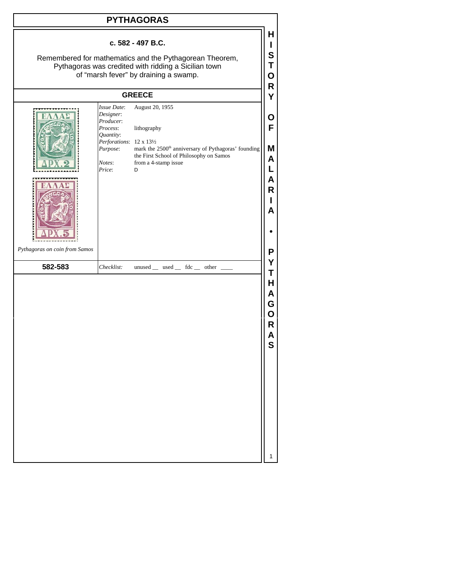| <b>PYTHAGORAS</b>                                                                                                                                                             |                                                                       |                                                                                                                                         |                            |  |  |  |  |
|-------------------------------------------------------------------------------------------------------------------------------------------------------------------------------|-----------------------------------------------------------------------|-----------------------------------------------------------------------------------------------------------------------------------------|----------------------------|--|--|--|--|
| c. 582 - 497 B.C.<br>Remembered for mathematics and the Pythagorean Theorem,<br>Pythagoras was credited with ridding a Sicilian town<br>of "marsh fever" by draining a swamp. |                                                                       |                                                                                                                                         |                            |  |  |  |  |
|                                                                                                                                                                               | <b>GREECE</b>                                                         |                                                                                                                                         |                            |  |  |  |  |
|                                                                                                                                                                               | <b>Issue Date:</b><br>Designer:<br>Producer:<br>Process:<br>Quantity: | August 20, 1955<br>lithography                                                                                                          | Υ<br>U<br>F                |  |  |  |  |
|                                                                                                                                                                               | Perforations: 12 x 131/2<br>Purpose:<br>Notes:<br>Price:              | mark the 2500 <sup>th</sup> anniversary of Pythagoras' founding<br>the First School of Philosophy on Samos<br>from a 4-stamp issue<br>D | Μ<br>Α<br>А                |  |  |  |  |
|                                                                                                                                                                               |                                                                       |                                                                                                                                         | R<br>Α                     |  |  |  |  |
| Pythagoras on coin from Samos                                                                                                                                                 |                                                                       |                                                                                                                                         | Ρ                          |  |  |  |  |
| 582-583                                                                                                                                                                       | Checklist:                                                            | $unused$ __ used __ fdc __ other _                                                                                                      | Υ<br>Τ                     |  |  |  |  |
|                                                                                                                                                                               |                                                                       |                                                                                                                                         | н<br>А<br>G<br>Ο<br>R<br>S |  |  |  |  |
|                                                                                                                                                                               |                                                                       |                                                                                                                                         | 1                          |  |  |  |  |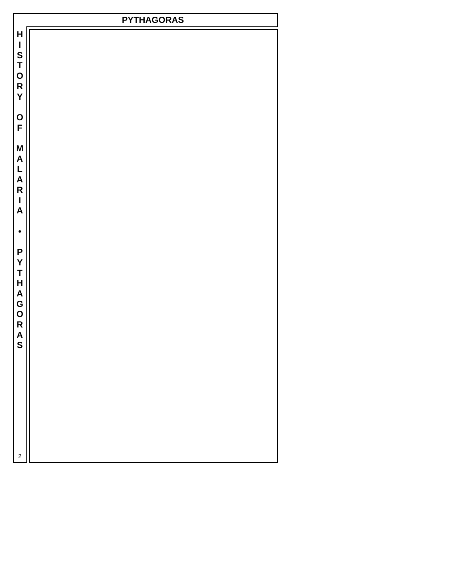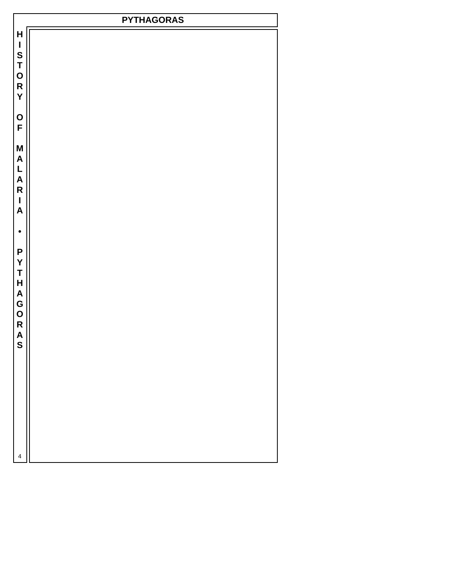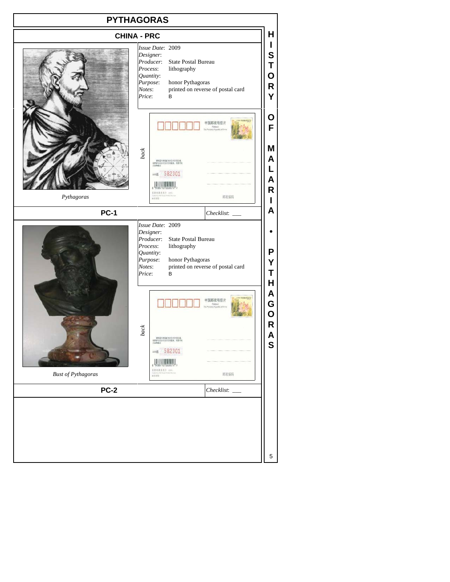## **PYTHAGORAS H CHINA - PRC I** *Issue Date*: 2009 **S** *Designer*: *Producer*: State Postal Bureau **T** *Process*: lithography **O** *Quantity*: *Purpose*: honor Pythagoras<br>*Notes*: printed on reverse **R** printed on reverse of postal card **Y** *Price*: B **O** 中国邮政明信片 **F M** *back* **A** -<br>本院電池教育業を受賞を受賞を受賞。<br>**英学学**<br>エネ<del>の</del> **L** AA组 582301 **A**  $\frac{1}{2}$ **R** *Pythagoras* 邮政编码 **I A PC-1** *Checklist*: \_\_\_ *Issue Date*: 2009 *Designer*: **•** *Producer*: State Postal Bureau *Process*: lithography **P** *Quantity*: *Purpose*: honor Pythagoras **Y** *Notes*: printed on reverse of postal card **T** *Price*: B **H A** 中国邮政明信片 **G O R** *back* **A** -<br>本院留示的実施为分白利行印区域。<br>日時変元以自行法行行印版版。存置や板<br>日本数学 **S** ААН 582301  $0.3571488847$ *Bust of Pythagoras* 邮政编码 **PC-2** *Checklist*: \_\_\_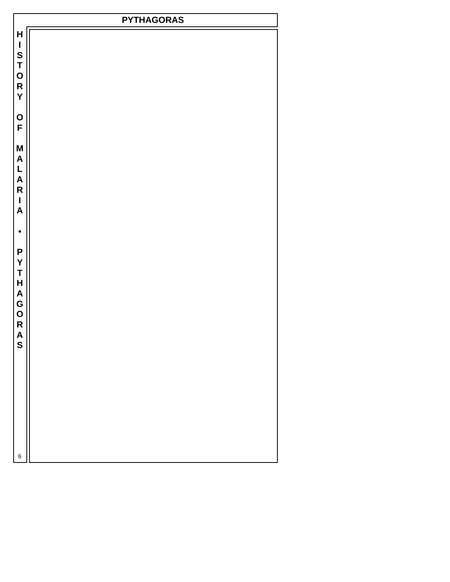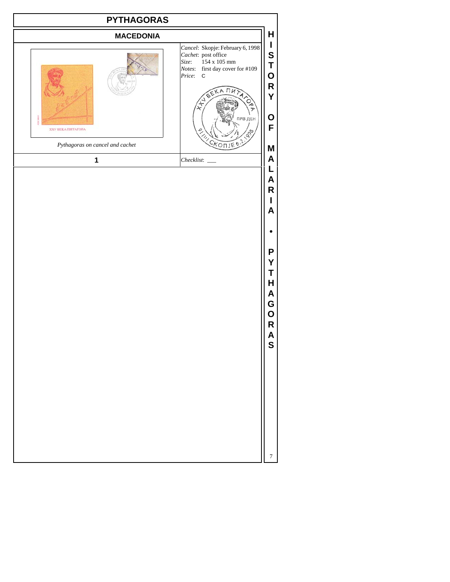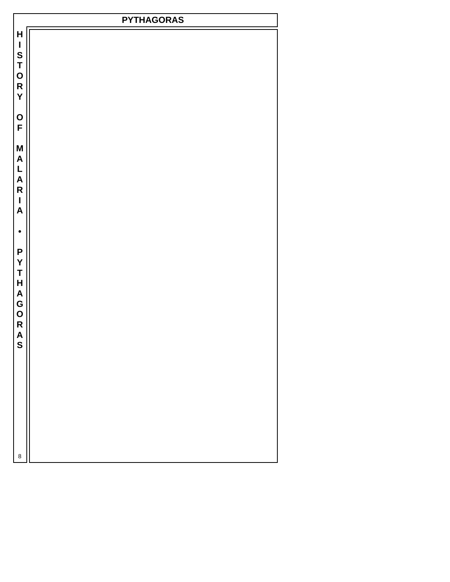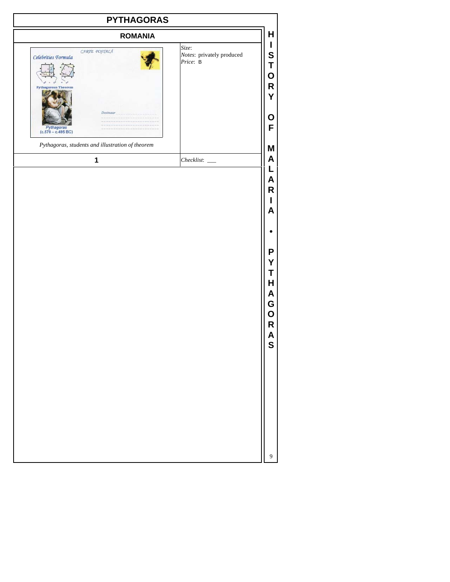| <b>ROMANIA</b><br>CARTE POSTALĂ<br>Celebrities Formula<br><b>Pythagorean Theorem</b>                        | H<br>L<br>Size:<br>S<br>Notes: privately produced<br>Price: B<br>T<br>O<br>$\mathsf{R}$<br>Y |
|-------------------------------------------------------------------------------------------------------------|----------------------------------------------------------------------------------------------|
|                                                                                                             |                                                                                              |
| <b>Destinator</b><br>$Pythagoras$<br>(c.570 – c.495 BC)<br>Pythagoras, students and illustration of theorem | O<br>F                                                                                       |
| $\mathbf 1$                                                                                                 | Μ<br>A                                                                                       |
|                                                                                                             | L<br>A<br>R<br>A<br>P<br>Υ<br>Τ<br>Н<br>A<br>G<br>O<br>R<br>A<br>S                           |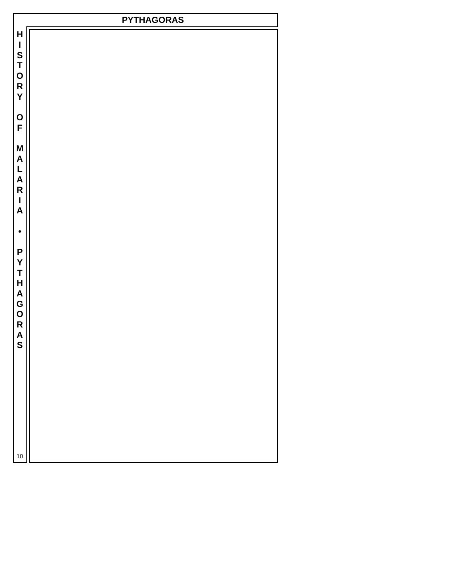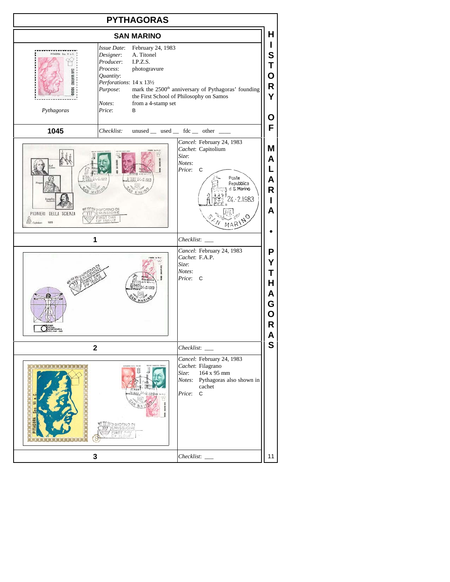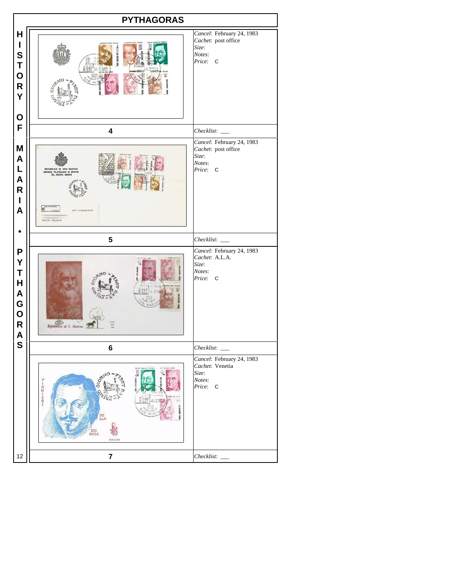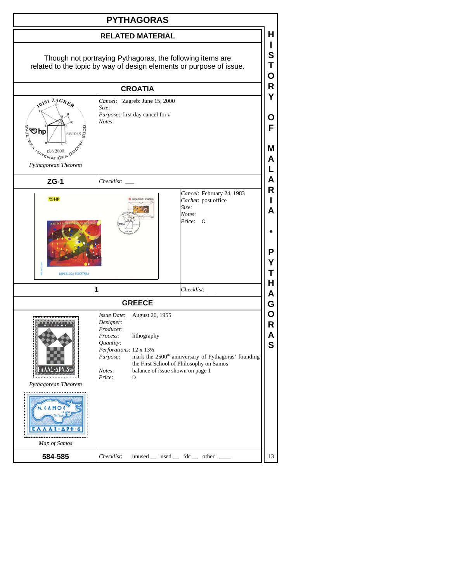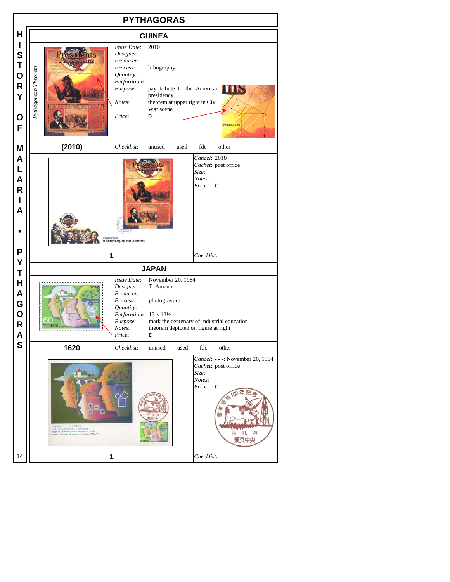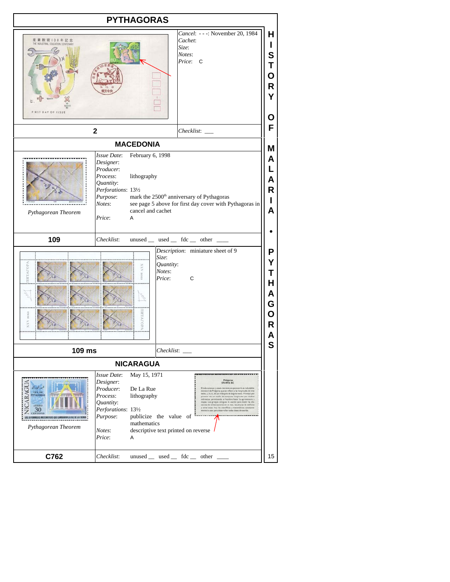| <b>PYTHAGORAS</b>                                                                                                                                             |                                                                                                                                                                                       |                                                                                                                                                                                                                                                                                                                                                                                                                                                                                                                                       |                                      |  |  |  |
|---------------------------------------------------------------------------------------------------------------------------------------------------------------|---------------------------------------------------------------------------------------------------------------------------------------------------------------------------------------|---------------------------------------------------------------------------------------------------------------------------------------------------------------------------------------------------------------------------------------------------------------------------------------------------------------------------------------------------------------------------------------------------------------------------------------------------------------------------------------------------------------------------------------|--------------------------------------|--|--|--|
| Cancel: ---: November 20, 1984<br>産業教育100年記念<br>Cachet:<br>THE INDUSTRIAL EDUCATION CENTENARY<br>Size:<br>Notes:<br>Price: C<br>T DAY OF ISSUE                |                                                                                                                                                                                       |                                                                                                                                                                                                                                                                                                                                                                                                                                                                                                                                       |                                      |  |  |  |
|                                                                                                                                                               | $\mathbf 2$                                                                                                                                                                           | $Checklist:$ $\_\_$                                                                                                                                                                                                                                                                                                                                                                                                                                                                                                                   | F                                    |  |  |  |
|                                                                                                                                                               | <b>MACEDONIA</b>                                                                                                                                                                      |                                                                                                                                                                                                                                                                                                                                                                                                                                                                                                                                       | M                                    |  |  |  |
| Pythagorean Theorem                                                                                                                                           | February 6, 1998<br>Issue Date:<br>Designer:<br>Producer:<br>Process:<br>lithography<br>Quantity:<br>Perforations: 131/2<br>Purpose:<br>Notes:<br>cancel and cachet<br>Price:<br>A    | mark the 2500 <sup>th</sup> anniversary of Pythagoras<br>see page 5 above for first day cover with Pythagoras in                                                                                                                                                                                                                                                                                                                                                                                                                      | Α<br>L<br>Α<br>R<br>L<br>A           |  |  |  |
| 109                                                                                                                                                           | Checklist:                                                                                                                                                                            | unused $\_\$ used $\_\$ fdc $\_\$ other $\_\_$                                                                                                                                                                                                                                                                                                                                                                                                                                                                                        |                                      |  |  |  |
| <b>ATATOP</b><br>š                                                                                                                                            | Ę                                                                                                                                                                                     | Description: miniature sheet of 9<br>Size:<br>Quantity:<br>Notes:<br>Price:<br>C                                                                                                                                                                                                                                                                                                                                                                                                                                                      | P<br>Y<br>Τ<br>Н<br>Α<br>G<br>О<br>R |  |  |  |
| 109 ms                                                                                                                                                        |                                                                                                                                                                                       | $Checklist:$ $\_\_$                                                                                                                                                                                                                                                                                                                                                                                                                                                                                                                   | S                                    |  |  |  |
| <b>NICARAGUA</b>                                                                                                                                              |                                                                                                                                                                                       |                                                                                                                                                                                                                                                                                                                                                                                                                                                                                                                                       |                                      |  |  |  |
| $-1$<br>LEY DE<br>TOUT OUTLE TOUTE<br>TAGO<br>AEREO<br>30 <sub>cm</sub><br>IS 10 FORMULAS MATEMATICAS QUE CAMBARÓN LA FAZ DE LA TIERRA<br>Pythagorean Theorem | Issue Date:<br>May 15, 1971<br>Designer:<br>De La Rue<br>Producer:<br>lithography<br>Process:<br>Quantity:<br>Perforations: 131/2<br>Purpose:<br>mathematics<br>Notes:<br>Price:<br>Α | Pitágura<br><b>STO-4V7/6 BC</b><br>y usado tel<br>ns an geom<br>e el de Pitigoras que se reflere a las longitudes de tres<br>dos, a, b y c, de an triángulo de ángulo resto. Proveyó por<br>ers vez un modio de computar longitudes por<br>directos permitiendo al hombre hacer la agrimentura y<br>as griegos antiguos lo usarde para medir las dis-<br>iones en el mar, las situras de edificios<br>st de a<br>ras novas: hoy los científicos y matemáticos consta<br>publicize the value of<br>descriptive text printed on reverse |                                      |  |  |  |
| C762                                                                                                                                                          | Checklist:                                                                                                                                                                            | unused _ used _ fdc _ other _                                                                                                                                                                                                                                                                                                                                                                                                                                                                                                         | 15                                   |  |  |  |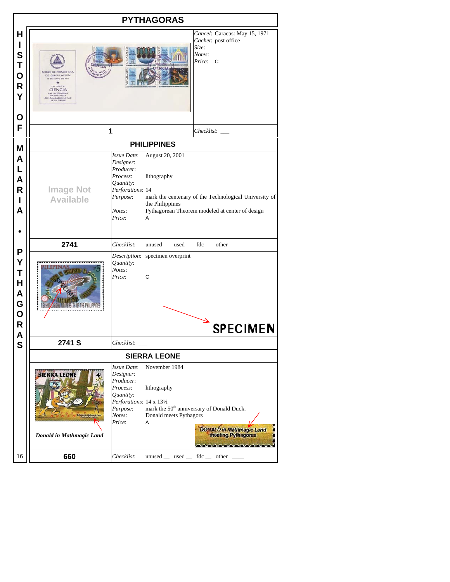|                                           | <b>PYTHAGORAS</b>                                       |                                                                                                                            |                                                                                                                                                                    |                                                                                                         |  |  |  |  |  |
|-------------------------------------------|---------------------------------------------------------|----------------------------------------------------------------------------------------------------------------------------|--------------------------------------------------------------------------------------------------------------------------------------------------------------------|---------------------------------------------------------------------------------------------------------|--|--|--|--|--|
| н<br>I<br>S<br>Τ<br>O<br>R<br>Υ<br>O      | SOBRE DE PRIMER DIA<br>DE CIRCULACION<br><b>SIENCIA</b> | Cancel: Caracas: May 15, 1971<br>Cachet: post office<br>Size:<br>Notes:<br>Price:<br>C                                     |                                                                                                                                                                    |                                                                                                         |  |  |  |  |  |
| F                                         | 1                                                       |                                                                                                                            | Checklist:                                                                                                                                                         |                                                                                                         |  |  |  |  |  |
| M                                         |                                                         | <b>PHILIPPINES</b>                                                                                                         |                                                                                                                                                                    |                                                                                                         |  |  |  |  |  |
| A<br>L<br>A<br>R<br>ı<br>A                | <b>Image Not</b><br><b>Available</b>                    | Issue Date:<br>Designer:<br>Producer:<br>Process:<br>Quantity:<br>Perforations: 14<br>Purpose:<br>Notes:<br>Price:         | August 20, 2001<br>lithography<br>mark the centenary of the Technological University of<br>the Philippines<br>Pythagorean Theorem modeled at center of design<br>A |                                                                                                         |  |  |  |  |  |
|                                           | 2741                                                    | Checklist:                                                                                                                 |                                                                                                                                                                    | unused _ used _ fdc _ other _                                                                           |  |  |  |  |  |
| P<br>Y<br>T<br>H<br>A<br>G<br>O<br>R<br>A |                                                         | Quantity:<br>Notes:<br>Price:                                                                                              | Description: specimen overprint<br>C                                                                                                                               | <b>SPECIMEN</b>                                                                                         |  |  |  |  |  |
| S                                         | 2741 S                                                  | Checklist:                                                                                                                 |                                                                                                                                                                    |                                                                                                         |  |  |  |  |  |
|                                           |                                                         | <b>SIERRA LEONE</b>                                                                                                        |                                                                                                                                                                    |                                                                                                         |  |  |  |  |  |
|                                           | <b>SIERRA LEONI</b><br>Donald in Mathmagic Land         | Issue Date:<br>Designer:<br>Producer:<br>Process:<br>Quantity:<br>Perforations: 14 x 131/2<br>Purpose:<br>Notes:<br>Price: | November 1984<br>lithography<br>Donald meets Pythagors<br>A                                                                                                        | mark the 50 <sup>th</sup> anniversary of Donald Duck.<br>DONALD in Mathmagic Land<br>meeting Pythagoras |  |  |  |  |  |
| 16                                        | 660                                                     | Checklist:                                                                                                                 | $unused$ used  fdc  other                                                                                                                                          |                                                                                                         |  |  |  |  |  |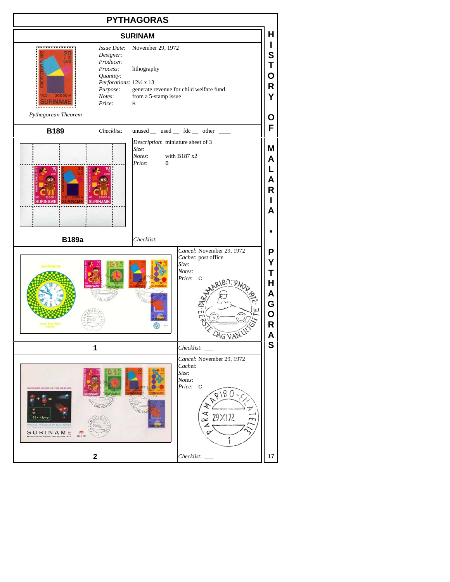